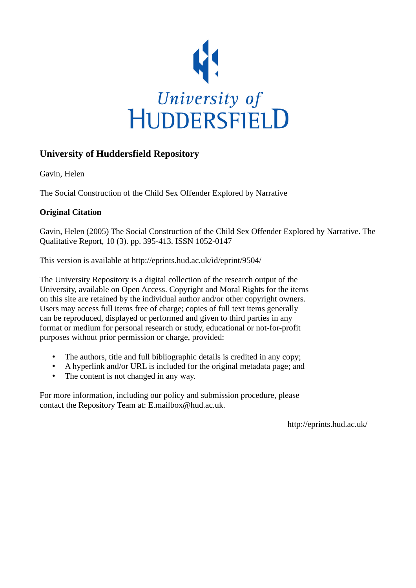

# **University of Huddersfield Repository**

Gavin, Helen

The Social Construction of the Child Sex Offender Explored by Narrative

# **Original Citation**

Gavin, Helen (2005) The Social Construction of the Child Sex Offender Explored by Narrative. The Qualitative Report, 10 (3). pp. 395-413. ISSN 1052-0147

This version is available at http://eprints.hud.ac.uk/id/eprint/9504/

The University Repository is a digital collection of the research output of the University, available on Open Access. Copyright and Moral Rights for the items on this site are retained by the individual author and/or other copyright owners. Users may access full items free of charge; copies of full text items generally can be reproduced, displayed or performed and given to third parties in any format or medium for personal research or study, educational or not-for-profit purposes without prior permission or charge, provided:

- The authors, title and full bibliographic details is credited in any copy;
- A hyperlink and/or URL is included for the original metadata page; and
- The content is not changed in any way.

For more information, including our policy and submission procedure, please contact the Repository Team at: E.mailbox@hud.ac.uk.

http://eprints.hud.ac.uk/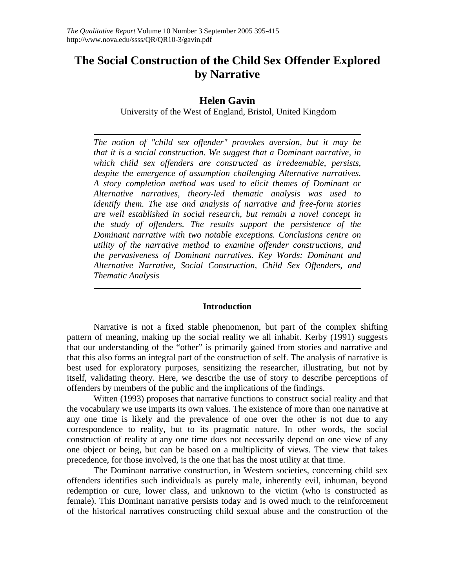# **The Social Construction of the Child Sex Offender Explored by Narrative**

# **Helen Gavin**

University of the West of England, Bristol, United Kingdom

*The notion of "child sex offender" provokes aversion, but it may be that it is a social construction. We suggest that a Dominant narrative, in which child sex offenders are constructed as irredeemable, persists, despite the emergence of assumption challenging Alternative narratives. A story completion method was used to elicit themes of Dominant or Alternative narratives, theory-led thematic analysis was used to identify them. The use and analysis of narrative and free-form stories are well established in social research, but remain a novel concept in the study of offenders. The results support the persistence of the Dominant narrative with two notable exceptions. Conclusions centre on utility of the narrative method to examine offender constructions, and the pervasiveness of Dominant narratives. Key Words: Dominant and Alternative Narrative, Social Construction, Child Sex Offenders, and Thematic Analysis* 

# **Introduction**

Narrative is not a fixed stable phenomenon, but part of the complex shifting pattern of meaning, making up the social reality we all inhabit. Kerby (1991) suggests that our understanding of the "other" is primarily gained from stories and narrative and that this also forms an integral part of the construction of self. The analysis of narrative is best used for exploratory purposes, sensitizing the researcher, illustrating, but not by itself, validating theory. Here, we describe the use of story to describe perceptions of offenders by members of the public and the implications of the findings.

 Witten (1993) proposes that narrative functions to construct social reality and that the vocabulary we use imparts its own values. The existence of more than one narrative at any one time is likely and the prevalence of one over the other is not due to any correspondence to reality, but to its pragmatic nature. In other words, the social construction of reality at any one time does not necessarily depend on one view of any one object or being, but can be based on a multiplicity of views. The view that takes precedence, for those involved, is the one that has the most utility at that time.

The Dominant narrative construction, in Western societies, concerning child sex offenders identifies such individuals as purely male, inherently evil, inhuman, beyond redemption or cure, lower class, and unknown to the victim (who is constructed as female). This Dominant narrative persists today and is owed much to the reinforcement of the historical narratives constructing child sexual abuse and the construction of the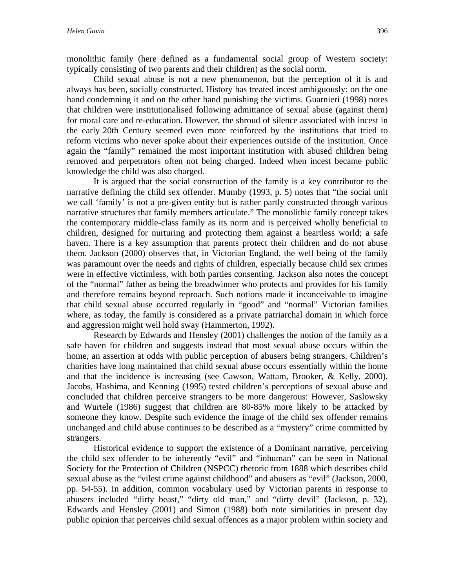monolithic family (here defined as a fundamental social group of Western society: typically consisting of two parents and their children) as the social norm.

Child sexual abuse is not a new phenomenon, but the perception of it is and always has been, socially constructed. History has treated incest ambiguously: on the one hand condemning it and on the other hand punishing the victims. Guarnieri (1998) notes that children were institutionalised following admittance of sexual abuse (against them) for moral care and re-education. However, the shroud of silence associated with incest in the early 20th Century seemed even more reinforced by the institutions that tried to reform victims who never spoke about their experiences outside of the institution. Once again the "family" remained the most important institution with abused children being removed and perpetrators often not being charged. Indeed when incest became public knowledge the child was also charged.

It is argued that the social construction of the family is a key contributor to the narrative defining the child sex offender. Mumby (1993, p. 5) notes that "the social unit we call 'family' is not a pre-given entity but is rather partly constructed through various narrative structures that family members articulate." The monolithic family concept takes the contemporary middle-class family as its norm and is perceived wholly beneficial to children, designed for nurturing and protecting them against a heartless world; a safe haven. There is a key assumption that parents protect their children and do not abuse them. Jackson (2000) observes that, in Victorian England, the well being of the family was paramount over the needs and rights of children, especially because child sex crimes were in effective victimless, with both parties consenting. Jackson also notes the concept of the "normal" father as being the breadwinner who protects and provides for his family and therefore remains beyond reproach. Such notions made it inconceivable to imagine that child sexual abuse occurred regularly in "good" and "normal" Victorian families where, as today, the family is considered as a private patriarchal domain in which force and aggression might well hold sway (Hammerton, 1992).

Research by Edwards and Hensley (2001) challenges the notion of the family as a safe haven for children and suggests instead that most sexual abuse occurs within the home, an assertion at odds with public perception of abusers being strangers. Children's charities have long maintained that child sexual abuse occurs essentially within the home and that the incidence is increasing (see Cawson, Wattam, Brooker, & Kelly, 2000). Jacobs, Hashima, and Kenning (1995) tested children's perceptions of sexual abuse and concluded that children perceive strangers to be more dangerous: However, Saslowsky and Wurtele (1986) suggest that children are 80-85% more likely to be attacked by someone they know. Despite such evidence the image of the child sex offender remains unchanged and child abuse continues to be described as a "mystery" crime committed by strangers.

Historical evidence to support the existence of a Dominant narrative, perceiving the child sex offender to be inherently "evil" and "inhuman" can be seen in National Society for the Protection of Children (NSPCC) rhetoric from 1888 which describes child sexual abuse as the "vilest crime against childhood" and abusers as "evil" (Jackson, 2000, pp. 54-55). In addition, common vocabulary used by Victorian parents in response to abusers included "dirty beast," "dirty old man," and "dirty devil" (Jackson, p. 32). Edwards and Hensley (2001) and Simon (1988) both note similarities in present day public opinion that perceives child sexual offences as a major problem within society and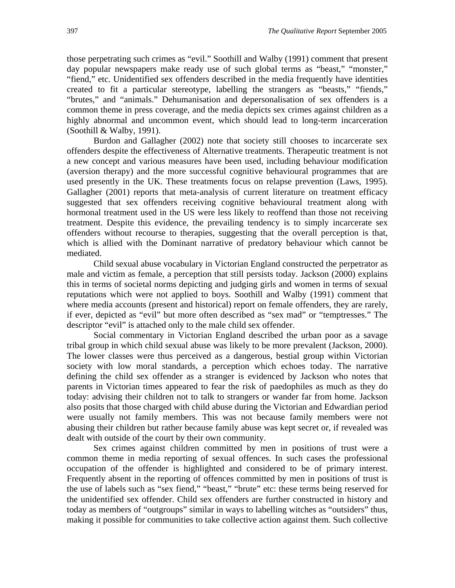those perpetrating such crimes as "evil." Soothill and Walby (1991) comment that present day popular newspapers make ready use of such global terms as "beast," "monster," "fiend," etc. Unidentified sex offenders described in the media frequently have identities created to fit a particular stereotype, labelling the strangers as "beasts," "fiends," "brutes," and "animals." Dehumanisation and depersonalisation of sex offenders is a common theme in press coverage, and the media depicts sex crimes against children as a highly abnormal and uncommon event, which should lead to long-term incarceration (Soothill & Walby, 1991).

Burdon and Gallagher (2002) note that society still chooses to incarcerate sex offenders despite the effectiveness of Alternative treatments. Therapeutic treatment is not a new concept and various measures have been used, including behaviour modification (aversion therapy) and the more successful cognitive behavioural programmes that are used presently in the UK. These treatments focus on relapse prevention (Laws, 1995). Gallagher (2001) reports that meta-analysis of current literature on treatment efficacy suggested that sex offenders receiving cognitive behavioural treatment along with hormonal treatment used in the US were less likely to reoffend than those not receiving treatment. Despite this evidence, the prevailing tendency is to simply incarcerate sex offenders without recourse to therapies, suggesting that the overall perception is that, which is allied with the Dominant narrative of predatory behaviour which cannot be mediated.

Child sexual abuse vocabulary in Victorian England constructed the perpetrator as male and victim as female, a perception that still persists today. Jackson (2000) explains this in terms of societal norms depicting and judging girls and women in terms of sexual reputations which were not applied to boys. Soothill and Walby (1991) comment that where media accounts (present and historical) report on female offenders, they are rarely, if ever, depicted as "evil" but more often described as "sex mad" or "temptresses." The descriptor "evil" is attached only to the male child sex offender.

Social commentary in Victorian England described the urban poor as a savage tribal group in which child sexual abuse was likely to be more prevalent (Jackson, 2000). The lower classes were thus perceived as a dangerous, bestial group within Victorian society with low moral standards, a perception which echoes today. The narrative defining the child sex offender as a stranger is evidenced by Jackson who notes that parents in Victorian times appeared to fear the risk of paedophiles as much as they do today: advising their children not to talk to strangers or wander far from home. Jackson also posits that those charged with child abuse during the Victorian and Edwardian period were usually not family members. This was not because family members were not abusing their children but rather because family abuse was kept secret or, if revealed was dealt with outside of the court by their own community.

Sex crimes against children committed by men in positions of trust were a common theme in media reporting of sexual offences. In such cases the professional occupation of the offender is highlighted and considered to be of primary interest. Frequently absent in the reporting of offences committed by men in positions of trust is the use of labels such as "sex fiend," "beast," "brute" etc: these terms being reserved for the unidentified sex offender. Child sex offenders are further constructed in history and today as members of "outgroups" similar in ways to labelling witches as "outsiders" thus, making it possible for communities to take collective action against them. Such collective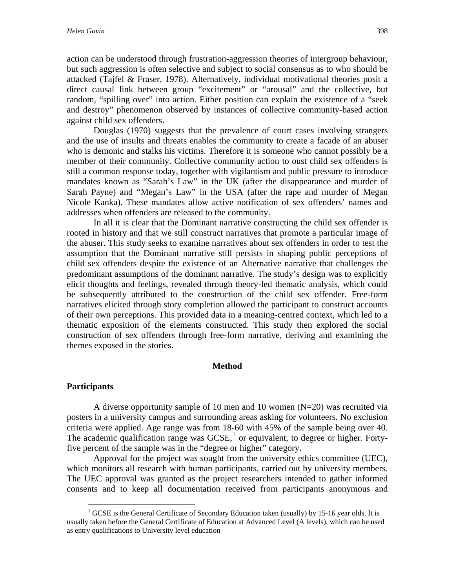action can be understood through frustration-aggression theories of intergroup behaviour, but such aggression is often selective and subject to social consensus as to who should be attacked (Tajfel & Fraser, 1978). Alternatively, individual motivational theories posit a direct causal link between group "excitement" or "arousal" and the collective, but random, "spilling over" into action. Either position can explain the existence of a "seek and destroy" phenomenon observed by instances of collective community-based action against child sex offenders.

Douglas (1970) suggests that the prevalence of court cases involving strangers and the use of insults and threats enables the community to create a facade of an abuser who is demonic and stalks his victims. Therefore it is someone who cannot possibly be a member of their community. Collective community action to oust child sex offenders is still a common response today, together with vigilantism and public pressure to introduce mandates known as "Sarah's Law" in the UK (after the disappearance and murder of Sarah Payne) and "Megan's Law" in the USA (after the rape and murder of Megan Nicole Kanka). These mandates allow active notification of sex offenders' names and addresses when offenders are released to the community.

In all it is clear that the Dominant narrative constructing the child sex offender is rooted in history and that we still construct narratives that promote a particular image of the abuser. This study seeks to examine narratives about sex offenders in order to test the assumption that the Dominant narrative still persists in shaping public perceptions of child sex offenders despite the existence of an Alternative narrative that challenges the predominant assumptions of the dominant narrative. The study's design was to explicitly elicit thoughts and feelings, revealed through theory-led thematic analysis, which could be subsequently attributed to the construction of the child sex offender. Free-form narratives elicited through story completion allowed the participant to construct accounts of their own perceptions. This provided data in a meaning-centred context, which led to a thematic exposition of the elements constructed. This study then explored the social construction of sex offenders through free-form narrative, deriving and examining the themes exposed in the stories.

#### **Method**

#### **Participants**

 $\overline{a}$ 

A diverse opportunity sample of 10 men and 10 women (N=20) was recruited via posters in a university campus and surrounding areas asking for volunteers. No exclusion criteria were applied. Age range was from 18-60 with 45% of the sample being over 40. The academic qualification range was  $GCSE<sub>1</sub><sup>1</sup>$  $GCSE<sub>1</sub><sup>1</sup>$  $GCSE<sub>1</sub><sup>1</sup>$  or equivalent, to degree or higher. Fortyfive percent of the sample was in the "degree or higher" category.

Approval for the project was sought from the university ethics committee (UEC), which monitors all research with human participants, carried out by university members. The UEC approval was granted as the project researchers intended to gather informed consents and to keep all documentation received from participants anonymous and

<span id="page-4-0"></span> $1$  GCSE is the General Certificate of Secondary Education taken (usually) by 15-16 year olds. It is usually taken before the General Certificate of Education at Advanced Level (A levels), which can be used as entry qualifications to University level education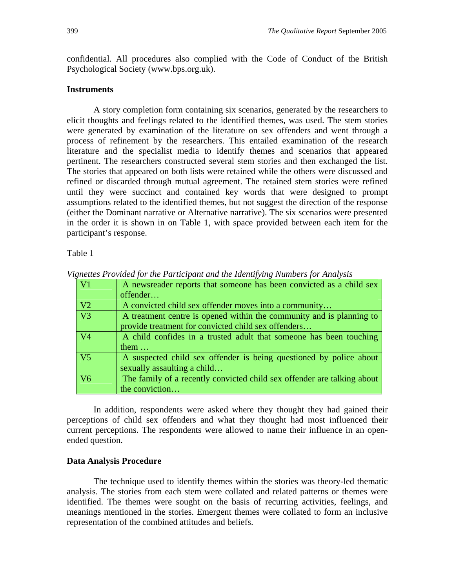confidential. All procedures also complied with the Code of Conduct of the British Psychological Society (www.bps.org.uk).

# **Instruments**

A story completion form containing six scenarios, generated by the researchers to elicit thoughts and feelings related to the identified themes, was used. The stem stories were generated by examination of the literature on sex offenders and went through a process of refinement by the researchers. This entailed examination of the research literature and the specialist media to identify themes and scenarios that appeared pertinent. The researchers constructed several stem stories and then exchanged the list. The stories that appeared on both lists were retained while the others were discussed and refined or discarded through mutual agreement. The retained stem stories were refined until they were succinct and contained key words that were designed to prompt assumptions related to the identified themes, but not suggest the direction of the response (either the Dominant narrative or Alternative narrative). The six scenarios were presented in the order it is shown in on Table 1, with space provided between each item for the participant's response.

Table 1

| $\overline{\rm V1}$ | A newsreader reports that someone has been convicted as a child sex<br>offender                                             |
|---------------------|-----------------------------------------------------------------------------------------------------------------------------|
| V2                  | A convicted child sex offender moves into a community                                                                       |
| $\overline{V}3$     | A treatment centre is opened within the community and is planning to<br>provide treatment for convicted child sex offenders |
| V4                  | A child confides in a trusted adult that someone has been touching<br>them $\dots$                                          |
| $\overline{V}$      | A suspected child sex offender is being questioned by police about<br>sexually assaulting a child                           |
| V6                  | The family of a recently convicted child sex offender are talking about<br>the conviction                                   |

*Vignettes Provided for the Participant and the Identifying Numbers for Analysis* 

In addition, respondents were asked where they thought they had gained their perceptions of child sex offenders and what they thought had most influenced their current perceptions. The respondents were allowed to name their influence in an openended question.

## **Data Analysis Procedure**

The technique used to identify themes within the stories was theory-led thematic analysis. The stories from each stem were collated and related patterns or themes were identified. The themes were sought on the basis of recurring activities, feelings, and meanings mentioned in the stories. Emergent themes were collated to form an inclusive representation of the combined attitudes and beliefs.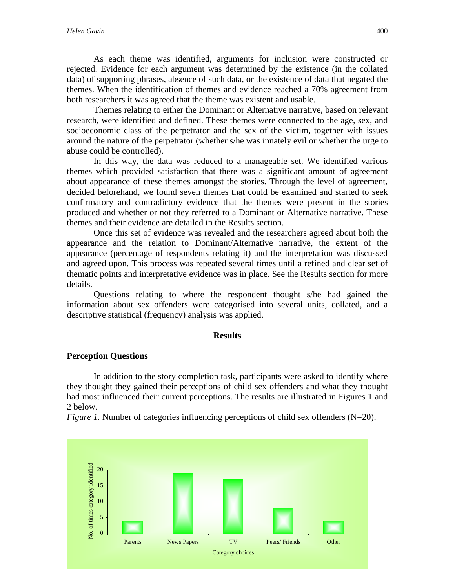As each theme was identified, arguments for inclusion were constructed or rejected. Evidence for each argument was determined by the existence (in the collated data) of supporting phrases, absence of such data, or the existence of data that negated the themes. When the identification of themes and evidence reached a 70% agreement from both researchers it was agreed that the theme was existent and usable.

Themes relating to either the Dominant or Alternative narrative, based on relevant research, were identified and defined. These themes were connected to the age, sex, and socioeconomic class of the perpetrator and the sex of the victim, together with issues around the nature of the perpetrator (whether s/he was innately evil or whether the urge to abuse could be controlled).

In this way, the data was reduced to a manageable set. We identified various themes which provided satisfaction that there was a significant amount of agreement about appearance of these themes amongst the stories. Through the level of agreement, decided beforehand, we found seven themes that could be examined and started to seek confirmatory and contradictory evidence that the themes were present in the stories produced and whether or not they referred to a Dominant or Alternative narrative. These themes and their evidence are detailed in the Results section.

Once this set of evidence was revealed and the researchers agreed about both the appearance and the relation to Dominant/Alternative narrative, the extent of the appearance (percentage of respondents relating it) and the interpretation was discussed and agreed upon. This process was repeated several times until a refined and clear set of thematic points and interpretative evidence was in place. See the Results section for more details.

Questions relating to where the respondent thought s/he had gained the information about sex offenders were categorised into several units, collated, and a descriptive statistical (frequency) analysis was applied.

#### **Results**

# **Perception Questions**

In addition to the story completion task, participants were asked to identify where they thought they gained their perceptions of child sex offenders and what they thought had most influenced their current perceptions. The results are illustrated in Figures 1 and 2 below.

*Figure 1.* Number of categories influencing perceptions of child sex offenders (N=20).

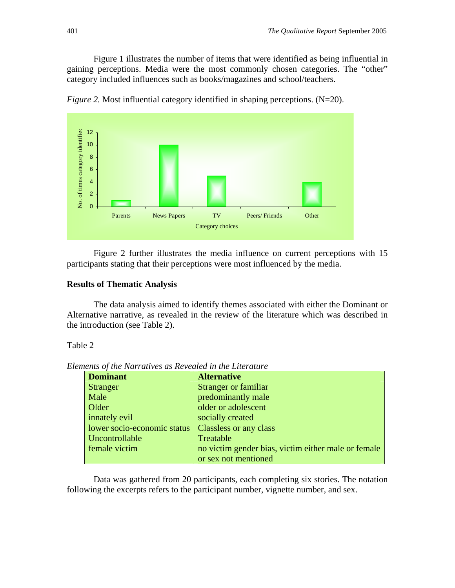Figure 1 illustrates the number of items that were identified as being influential in gaining perceptions. Media were the most commonly chosen categories. The "other" category included influences such as books/magazines and school/teachers.



*Figure 2.* Most influential category identified in shaping perceptions. (N=20).

Figure 2 further illustrates the media influence on current perceptions with 15 participants stating that their perceptions were most influenced by the media.

## **Results of Thematic Analysis**

The data analysis aimed to identify themes associated with either the Dominant or Alternative narrative, as revealed in the review of the literature which was described in the introduction (see Table 2).

#### Table 2

*Elements of the Narratives as Revealed in the Literature* 

| <b>Dominant</b>             | <b>Alternative</b>                                  |
|-----------------------------|-----------------------------------------------------|
| <b>Stranger</b>             | Stranger or familiar                                |
| Male                        | predominantly male                                  |
| Older                       | older or adolescent                                 |
| innately evil               | socially created                                    |
| lower socio-economic status | Classless or any class                              |
| Uncontrollable              | Treatable                                           |
| female victim               | no victim gender bias, victim either male or female |
|                             | or sex not mentioned                                |

Data was gathered from 20 participants, each completing six stories. The notation following the excerpts refers to the participant number, vignette number, and sex.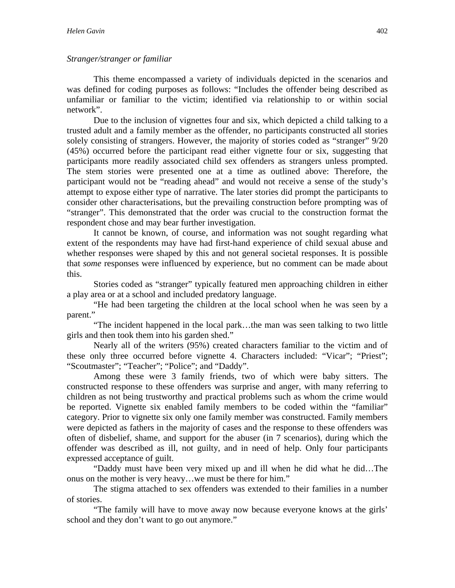# *Stranger/stranger or familiar*

This theme encompassed a variety of individuals depicted in the scenarios and was defined for coding purposes as follows: "Includes the offender being described as unfamiliar or familiar to the victim; identified via relationship to or within social network".

Due to the inclusion of vignettes four and six, which depicted a child talking to a trusted adult and a family member as the offender, no participants constructed all stories solely consisting of strangers. However, the majority of stories coded as "stranger" 9/20 (45%) occurred before the participant read either vignette four or six, suggesting that participants more readily associated child sex offenders as strangers unless prompted. The stem stories were presented one at a time as outlined above: Therefore, the participant would not be "reading ahead" and would not receive a sense of the study's attempt to expose either type of narrative. The later stories did prompt the participants to consider other characterisations, but the prevailing construction before prompting was of "stranger". This demonstrated that the order was crucial to the construction format the respondent chose and may bear further investigation.

It cannot be known, of course, and information was not sought regarding what extent of the respondents may have had first-hand experience of child sexual abuse and whether responses were shaped by this and not general societal responses. It is possible that *some* responses were influenced by experience, but no comment can be made about this.

Stories coded as "stranger" typically featured men approaching children in either a play area or at a school and included predatory language.

"He had been targeting the children at the local school when he was seen by a parent."

"The incident happened in the local park…the man was seen talking to two little girls and then took them into his garden shed."

Nearly all of the writers (95%) created characters familiar to the victim and of these only three occurred before vignette 4. Characters included: "Vicar"; "Priest"; "Scoutmaster"; "Teacher"; "Police"; and "Daddy".

Among these were 3 family friends, two of which were baby sitters. The constructed response to these offenders was surprise and anger, with many referring to children as not being trustworthy and practical problems such as whom the crime would be reported. Vignette six enabled family members to be coded within the "familiar" category. Prior to vignette six only one family member was constructed. Family members were depicted as fathers in the majority of cases and the response to these offenders was often of disbelief, shame, and support for the abuser (in 7 scenarios), during which the offender was described as ill, not guilty, and in need of help. Only four participants expressed acceptance of guilt.

"Daddy must have been very mixed up and ill when he did what he did…The onus on the mother is very heavy…we must be there for him."

The stigma attached to sex offenders was extended to their families in a number of stories.

"The family will have to move away now because everyone knows at the girls' school and they don't want to go out anymore."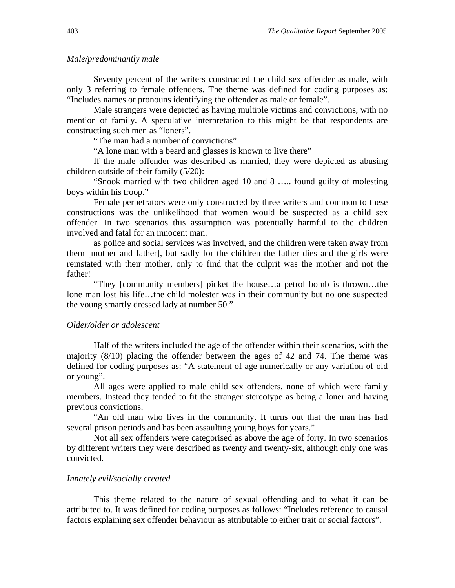#### *Male/predominantly male*

Seventy percent of the writers constructed the child sex offender as male, with only 3 referring to female offenders. The theme was defined for coding purposes as: "Includes names or pronouns identifying the offender as male or female".

Male strangers were depicted as having multiple victims and convictions, with no mention of family. A speculative interpretation to this might be that respondents are constructing such men as "loners".

"The man had a number of convictions"

"A lone man with a beard and glasses is known to live there"

If the male offender was described as married, they were depicted as abusing children outside of their family (5/20):

"Snook married with two children aged 10 and 8 ….. found guilty of molesting boys within his troop."

Female perpetrators were only constructed by three writers and common to these constructions was the unlikelihood that women would be suspected as a child sex offender. In two scenarios this assumption was potentially harmful to the children involved and fatal for an innocent man.

as police and social services was involved, and the children were taken away from them [mother and father], but sadly for the children the father dies and the girls were reinstated with their mother, only to find that the culprit was the mother and not the father!

"They [community members] picket the house…a petrol bomb is thrown…the lone man lost his life…the child molester was in their community but no one suspected the young smartly dressed lady at number 50."

#### *Older/older or adolescent*

Half of the writers included the age of the offender within their scenarios, with the majority (8/10) placing the offender between the ages of 42 and 74. The theme was defined for coding purposes as: "A statement of age numerically or any variation of old or young".

All ages were applied to male child sex offenders, none of which were family members. Instead they tended to fit the stranger stereotype as being a loner and having previous convictions.

"An old man who lives in the community. It turns out that the man has had several prison periods and has been assaulting young boys for years."

Not all sex offenders were categorised as above the age of forty. In two scenarios by different writers they were described as twenty and twenty-six, although only one was convicted.

## *Innately evil/socially created*

This theme related to the nature of sexual offending and to what it can be attributed to. It was defined for coding purposes as follows: "Includes reference to causal factors explaining sex offender behaviour as attributable to either trait or social factors".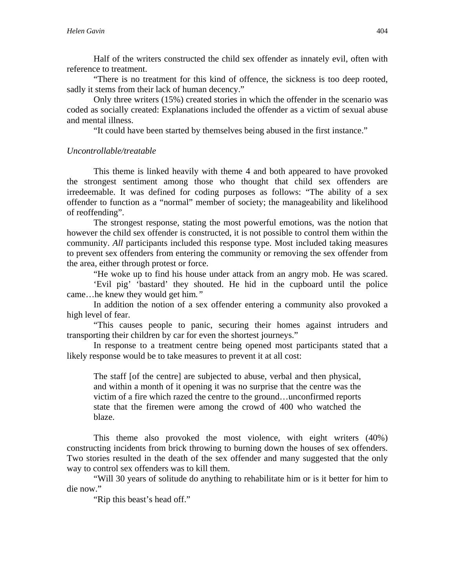Half of the writers constructed the child sex offender as innately evil, often with reference to treatment.

"There is no treatment for this kind of offence, the sickness is too deep rooted, sadly it stems from their lack of human decency."

Only three writers (15%) created stories in which the offender in the scenario was coded as socially created: Explanations included the offender as a victim of sexual abuse and mental illness.

"It could have been started by themselves being abused in the first instance."

# *Uncontrollable/treatable*

This theme is linked heavily with theme 4 and both appeared to have provoked the strongest sentiment among those who thought that child sex offenders are irredeemable. It was defined for coding purposes as follows: "The ability of a sex offender to function as a "normal" member of society; the manageability and likelihood of reoffending".

The strongest response, stating the most powerful emotions, was the notion that however the child sex offender is constructed, it is not possible to control them within the community. *All* participants included this response type. Most included taking measures to prevent sex offenders from entering the community or removing the sex offender from the area, either through protest or force.

"He woke up to find his house under attack from an angry mob. He was scared.

 'Evil pig' 'bastard' they shouted. He hid in the cupboard until the police came…he knew they would get him*."* 

In addition the notion of a sex offender entering a community also provoked a high level of fear.

"This causes people to panic, securing their homes against intruders and transporting their children by car for even the shortest journeys."

In response to a treatment centre being opened most participants stated that a likely response would be to take measures to prevent it at all cost:

The staff [of the centre] are subjected to abuse, verbal and then physical, and within a month of it opening it was no surprise that the centre was the victim of a fire which razed the centre to the ground…unconfirmed reports state that the firemen were among the crowd of 400 who watched the blaze.

This theme also provoked the most violence, with eight writers (40%) constructing incidents from brick throwing to burning down the houses of sex offenders. Two stories resulted in the death of the sex offender and many suggested that the only way to control sex offenders was to kill them.

"Will 30 years of solitude do anything to rehabilitate him or is it better for him to die now."

"Rip this beast's head off."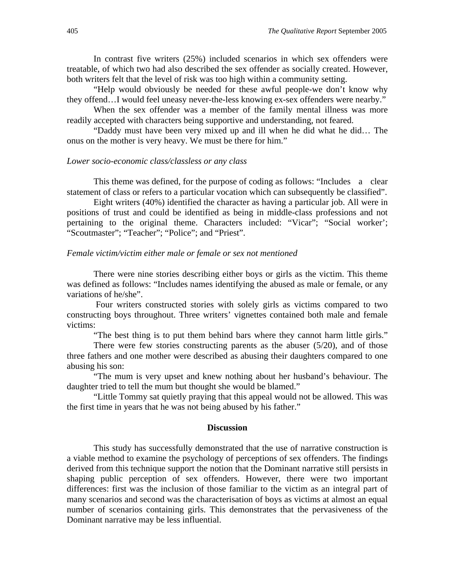In contrast five writers (25%) included scenarios in which sex offenders were treatable, of which two had also described the sex offender as socially created. However, both writers felt that the level of risk was too high within a community setting.

"Help would obviously be needed for these awful people-we don't know why they offend…I would feel uneasy never-the-less knowing ex-sex offenders were nearby."

When the sex offender was a member of the family mental illness was more readily accepted with characters being supportive and understanding, not feared.

"Daddy must have been very mixed up and ill when he did what he did… The onus on the mother is very heavy. We must be there for him."

#### *Lower socio-economic class/classless or any class*

This theme was defined, for the purpose of coding as follows: "Includes a clear statement of class or refers to a particular vocation which can subsequently be classified".

Eight writers (40%) identified the character as having a particular job. All were in positions of trust and could be identified as being in middle-class professions and not pertaining to the original theme. Characters included: "Vicar"; "Social worker'; "Scoutmaster"; "Teacher"; "Police"; and "Priest".

#### *Female victim/victim either male or female or sex not mentioned*

There were nine stories describing either boys or girls as the victim. This theme was defined as follows: "Includes names identifying the abused as male or female, or any variations of he/she".

 Four writers constructed stories with solely girls as victims compared to two constructing boys throughout. Three writers' vignettes contained both male and female victims:

"The best thing is to put them behind bars where they cannot harm little girls."

There were few stories constructing parents as the abuser  $(5/20)$ , and of those three fathers and one mother were described as abusing their daughters compared to one abusing his son:

"The mum is very upset and knew nothing about her husband's behaviour. The daughter tried to tell the mum but thought she would be blamed."

"Little Tommy sat quietly praying that this appeal would not be allowed. This was the first time in years that he was not being abused by his father."

#### **Discussion**

This study has successfully demonstrated that the use of narrative construction is a viable method to examine the psychology of perceptions of sex offenders. The findings derived from this technique support the notion that the Dominant narrative still persists in shaping public perception of sex offenders. However, there were two important differences: first was the inclusion of those familiar to the victim as an integral part of many scenarios and second was the characterisation of boys as victims at almost an equal number of scenarios containing girls. This demonstrates that the pervasiveness of the Dominant narrative may be less influential.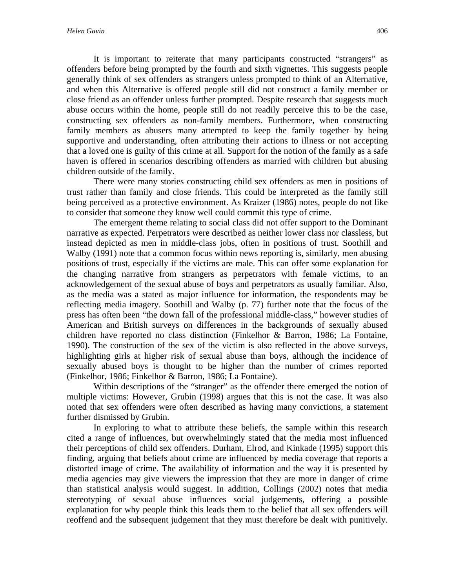It is important to reiterate that many participants constructed "strangers" as offenders before being prompted by the fourth and sixth vignettes. This suggests people generally think of sex offenders as strangers unless prompted to think of an Alternative, and when this Alternative is offered people still did not construct a family member or close friend as an offender unless further prompted. Despite research that suggests much abuse occurs within the home, people still do not readily perceive this to be the case, constructing sex offenders as non-family members. Furthermore, when constructing family members as abusers many attempted to keep the family together by being supportive and understanding, often attributing their actions to illness or not accepting that a loved one is guilty of this crime at all. Support for the notion of the family as a safe haven is offered in scenarios describing offenders as married with children but abusing children outside of the family.

There were many stories constructing child sex offenders as men in positions of trust rather than family and close friends. This could be interpreted as the family still being perceived as a protective environment. As Kraizer (1986) notes, people do not like to consider that someone they know well could commit this type of crime.

The emergent theme relating to social class did not offer support to the Dominant narrative as expected. Perpetrators were described as neither lower class nor classless, but instead depicted as men in middle-class jobs, often in positions of trust. Soothill and Walby (1991) note that a common focus within news reporting is, similarly, men abusing positions of trust, especially if the victims are male. This can offer some explanation for the changing narrative from strangers as perpetrators with female victims, to an acknowledgement of the sexual abuse of boys and perpetrators as usually familiar. Also, as the media was a stated as major influence for information, the respondents may be reflecting media imagery. Soothill and Walby (p. 77) further note that the focus of the press has often been "the down fall of the professional middle-class," however studies of American and British surveys on differences in the backgrounds of sexually abused children have reported no class distinction (Finkelhor & Barron, 1986; La Fontaine, 1990). The construction of the sex of the victim is also reflected in the above surveys, highlighting girls at higher risk of sexual abuse than boys, although the incidence of sexually abused boys is thought to be higher than the number of crimes reported (Finkelhor, 1986; Finkelhor & Barron, 1986; La Fontaine).

Within descriptions of the "stranger" as the offender there emerged the notion of multiple victims: However, Grubin (1998) argues that this is not the case. It was also noted that sex offenders were often described as having many convictions, a statement further dismissed by Grubin.

In exploring to what to attribute these beliefs, the sample within this research cited a range of influences, but overwhelmingly stated that the media most influenced their perceptions of child sex offenders. Durham, Elrod, and Kinkade (1995) support this finding, arguing that beliefs about crime are influenced by media coverage that reports a distorted image of crime. The availability of information and the way it is presented by media agencies may give viewers the impression that they are more in danger of crime than statistical analysis would suggest. In addition, Collings (2002) notes that media stereotyping of sexual abuse influences social judgements, offering a possible explanation for why people think this leads them to the belief that all sex offenders will reoffend and the subsequent judgement that they must therefore be dealt with punitively.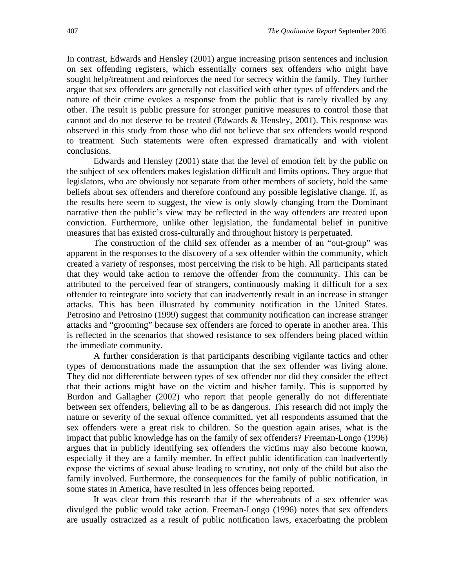In contrast, Edwards and Hensley (2001) argue increasing prison sentences and inclusion on sex offending registers, which essentially corners sex offenders who might have sought help/treatment and reinforces the need for secrecy within the family. They further argue that sex offenders are generally not classified with other types of offenders and the nature of their crime evokes a response from the public that is rarely rivalled by any other. The result is public pressure for stronger punitive measures to control those that cannot and do not deserve to be treated (Edwards & Hensley, 2001). This response was observed in this study from those who did not believe that sex offenders would respond to treatment. Such statements were often expressed dramatically and with violent conclusions.

Edwards and Hensley (2001) state that the level of emotion felt by the public on the subject of sex offenders makes legislation difficult and limits options. They argue that legislators, who are obviously not separate from other members of society, hold the same beliefs about sex offenders and therefore confound any possible legislative change. If, as the results here seem to suggest, the view is only slowly changing from the Dominant narrative then the public's view may be reflected in the way offenders are treated upon conviction. Furthermore, unlike other legislation, the fundamental belief in punitive measures that has existed cross-culturally and throughout history is perpetuated.

The construction of the child sex offender as a member of an "out-group" was apparent in the responses to the discovery of a sex offender within the community, which created a variety of responses, most perceiving the risk to be high. All participants stated that they would take action to remove the offender from the community. This can be attributed to the perceived fear of strangers, continuously making it difficult for a sex offender to reintegrate into society that can inadvertently result in an increase in stranger attacks. This has been illustrated by community notification in the United States. Petrosino and Petrosino (1999) suggest that community notification can increase stranger attacks and "grooming" because sex offenders are forced to operate in another area. This is reflected in the scenarios that showed resistance to sex offenders being placed within the immediate community.

A further consideration is that participants describing vigilante tactics and other types of demonstrations made the assumption that the sex offender was living alone. They did not differentiate between types of sex offender nor did they consider the effect that their actions might have on the victim and his/her family. This is supported by Burdon and Gallagher (2002) who report that people generally do not differentiate between sex offenders, believing all to be as dangerous. This research did not imply the nature or severity of the sexual offence committed, yet all respondents assumed that the sex offenders were a great risk to children. So the question again arises, what is the impact that public knowledge has on the family of sex offenders? Freeman-Longo (1996) argues that in publicly identifying sex offenders the victims may also become known, especially if they are a family member. In effect public identification can inadvertently expose the victims of sexual abuse leading to scrutiny, not only of the child but also the family involved. Furthermore, the consequences for the family of public notification, in some states in America, have resulted in less offences being reported.

It was clear from this research that if the whereabouts of a sex offender was divulged the public would take action. Freeman-Longo (1996) notes that sex offenders are usually ostracized as a result of public notification laws, exacerbating the problem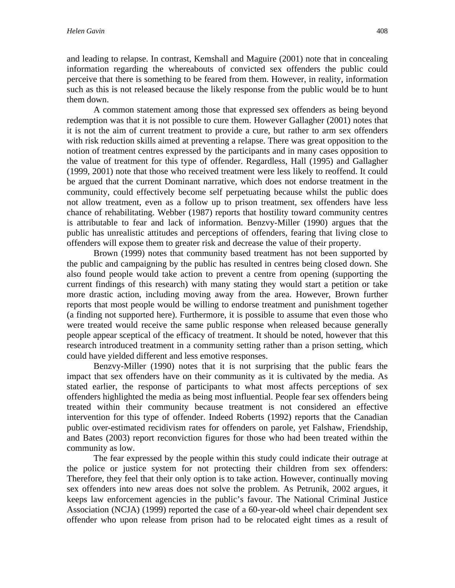and leading to relapse. In contrast, Kemshall and Maguire (2001) note that in concealing information regarding the whereabouts of convicted sex offenders the public could perceive that there is something to be feared from them. However, in reality, information such as this is not released because the likely response from the public would be to hunt them down.

A common statement among those that expressed sex offenders as being beyond redemption was that it is not possible to cure them. However Gallagher (2001) notes that it is not the aim of current treatment to provide a cure, but rather to arm sex offenders with risk reduction skills aimed at preventing a relapse. There was great opposition to the notion of treatment centres expressed by the participants and in many cases opposition to the value of treatment for this type of offender. Regardless, Hall (1995) and Gallagher (1999, 2001) note that those who received treatment were less likely to reoffend. It could be argued that the current Dominant narrative, which does not endorse treatment in the community, could effectively become self perpetuating because whilst the public does not allow treatment, even as a follow up to prison treatment, sex offenders have less chance of rehabilitating. Webber (1987) reports that hostility toward community centres is attributable to fear and lack of information. Benzvy-Miller (1990) argues that the public has unrealistic attitudes and perceptions of offenders, fearing that living close to offenders will expose them to greater risk and decrease the value of their property.

Brown (1999) notes that community based treatment has not been supported by the public and campaigning by the public has resulted in centres being closed down. She also found people would take action to prevent a centre from opening (supporting the current findings of this research) with many stating they would start a petition or take more drastic action, including moving away from the area. However, Brown further reports that most people would be willing to endorse treatment and punishment together (a finding not supported here). Furthermore, it is possible to assume that even those who were treated would receive the same public response when released because generally people appear sceptical of the efficacy of treatment. It should be noted, however that this research introduced treatment in a community setting rather than a prison setting, which could have yielded different and less emotive responses.

Benzvy-Miller (1990) notes that it is not surprising that the public fears the impact that sex offenders have on their community as it is cultivated by the media. As stated earlier, the response of participants to what most affects perceptions of sex offenders highlighted the media as being most influential. People fear sex offenders being treated within their community because treatment is not considered an effective intervention for this type of offender. Indeed Roberts (1992) reports that the Canadian public over-estimated recidivism rates for offenders on parole, yet Falshaw, Friendship, and Bates (2003) report reconviction figures for those who had been treated within the community as low.

The fear expressed by the people within this study could indicate their outrage at the police or justice system for not protecting their children from sex offenders: Therefore, they feel that their only option is to take action. However, continually moving sex offenders into new areas does not solve the problem. As Petrunik, 2002 argues, it keeps law enforcement agencies in the public's favour. The National Criminal Justice Association (NCJA) (1999) reported the case of a 60-year-old wheel chair dependent sex offender who upon release from prison had to be relocated eight times as a result of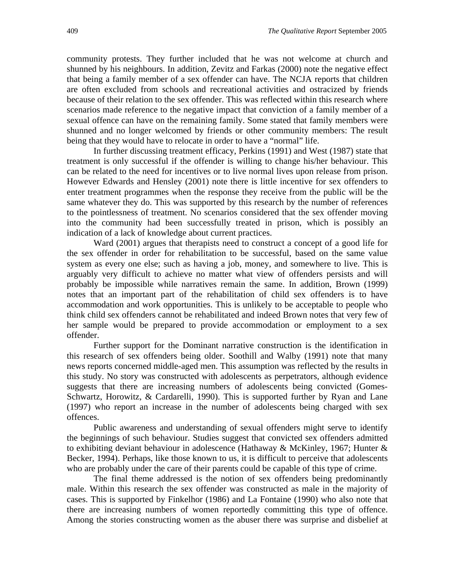community protests. They further included that he was not welcome at church and shunned by his neighbours. In addition, Zevitz and Farkas (2000) note the negative effect that being a family member of a sex offender can have. The NCJA reports that children are often excluded from schools and recreational activities and ostracized by friends because of their relation to the sex offender. This was reflected within this research where scenarios made reference to the negative impact that conviction of a family member of a sexual offence can have on the remaining family. Some stated that family members were shunned and no longer welcomed by friends or other community members: The result being that they would have to relocate in order to have a "normal" life.

In further discussing treatment efficacy, Perkins (1991) and West (1987) state that treatment is only successful if the offender is willing to change his/her behaviour. This can be related to the need for incentives or to live normal lives upon release from prison. However Edwards and Hensley (2001) note there is little incentive for sex offenders to enter treatment programmes when the response they receive from the public will be the same whatever they do. This was supported by this research by the number of references to the pointlessness of treatment. No scenarios considered that the sex offender moving into the community had been successfully treated in prison, which is possibly an indication of a lack of knowledge about current practices.

Ward (2001) argues that therapists need to construct a concept of a good life for the sex offender in order for rehabilitation to be successful, based on the same value system as every one else; such as having a job, money, and somewhere to live. This is arguably very difficult to achieve no matter what view of offenders persists and will probably be impossible while narratives remain the same. In addition, Brown (1999) notes that an important part of the rehabilitation of child sex offenders is to have accommodation and work opportunities. This is unlikely to be acceptable to people who think child sex offenders cannot be rehabilitated and indeed Brown notes that very few of her sample would be prepared to provide accommodation or employment to a sex offender.

Further support for the Dominant narrative construction is the identification in this research of sex offenders being older. Soothill and Walby (1991) note that many news reports concerned middle-aged men. This assumption was reflected by the results in this study. No story was constructed with adolescents as perpetrators, although evidence suggests that there are increasing numbers of adolescents being convicted (Gomes-Schwartz, Horowitz, & Cardarelli, 1990). This is supported further by Ryan and Lane (1997) who report an increase in the number of adolescents being charged with sex offences.

Public awareness and understanding of sexual offenders might serve to identify the beginnings of such behaviour. Studies suggest that convicted sex offenders admitted to exhibiting deviant behaviour in adolescence (Hathaway & McKinley, 1967; Hunter  $\&$ Becker, 1994). Perhaps, like those known to us, it is difficult to perceive that adolescents who are probably under the care of their parents could be capable of this type of crime.

The final theme addressed is the notion of sex offenders being predominantly male. Within this research the sex offender was constructed as male in the majority of cases. This is supported by Finkelhor (1986) and La Fontaine (1990) who also note that there are increasing numbers of women reportedly committing this type of offence. Among the stories constructing women as the abuser there was surprise and disbelief at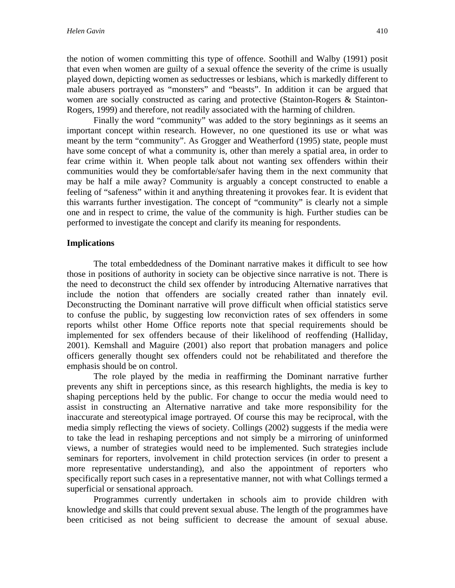the notion of women committing this type of offence. Soothill and Walby (1991) posit that even when women are guilty of a sexual offence the severity of the crime is usually played down, depicting women as seductresses or lesbians, which is markedly different to male abusers portrayed as "monsters" and "beasts". In addition it can be argued that women are socially constructed as caring and protective (Stainton-Rogers & Stainton-Rogers, 1999) and therefore, not readily associated with the harming of children.

Finally the word "community" was added to the story beginnings as it seems an important concept within research. However, no one questioned its use or what was meant by the term "community". As Grogger and Weatherford (1995) state, people must have some concept of what a community is, other than merely a spatial area, in order to fear crime within it. When people talk about not wanting sex offenders within their communities would they be comfortable/safer having them in the next community that may be half a mile away? Community is arguably a concept constructed to enable a feeling of "safeness" within it and anything threatening it provokes fear. It is evident that this warrants further investigation. The concept of "community" is clearly not a simple one and in respect to crime, the value of the community is high. Further studies can be performed to investigate the concept and clarify its meaning for respondents.

# **Implications**

The total embeddedness of the Dominant narrative makes it difficult to see how those in positions of authority in society can be objective since narrative is not. There is the need to deconstruct the child sex offender by introducing Alternative narratives that include the notion that offenders are socially created rather than innately evil. Deconstructing the Dominant narrative will prove difficult when official statistics serve to confuse the public, by suggesting low reconviction rates of sex offenders in some reports whilst other Home Office reports note that special requirements should be implemented for sex offenders because of their likelihood of reoffending (Halliday, 2001). Kemshall and Maguire (2001) also report that probation managers and police officers generally thought sex offenders could not be rehabilitated and therefore the emphasis should be on control.

The role played by the media in reaffirming the Dominant narrative further prevents any shift in perceptions since, as this research highlights, the media is key to shaping perceptions held by the public. For change to occur the media would need to assist in constructing an Alternative narrative and take more responsibility for the inaccurate and stereotypical image portrayed. Of course this may be reciprocal, with the media simply reflecting the views of society. Collings (2002) suggests if the media were to take the lead in reshaping perceptions and not simply be a mirroring of uninformed views, a number of strategies would need to be implemented. Such strategies include seminars for reporters, involvement in child protection services (in order to present a more representative understanding), and also the appointment of reporters who specifically report such cases in a representative manner, not with what Collings termed a superficial or sensational approach.

Programmes currently undertaken in schools aim to provide children with knowledge and skills that could prevent sexual abuse. The length of the programmes have been criticised as not being sufficient to decrease the amount of sexual abuse.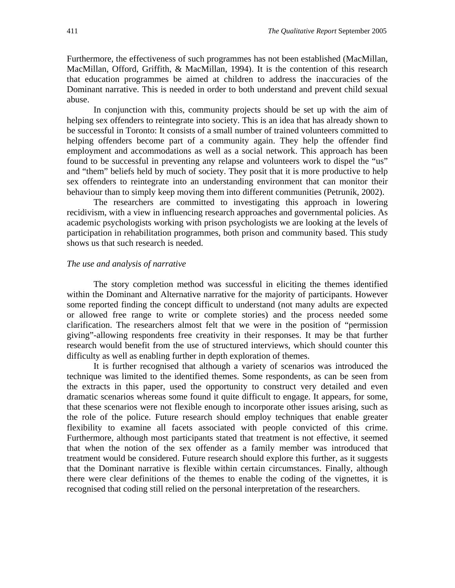Furthermore, the effectiveness of such programmes has not been established (MacMillan, MacMillan, Offord, Griffith, & MacMillan, 1994). It is the contention of this research that education programmes be aimed at children to address the inaccuracies of the Dominant narrative. This is needed in order to both understand and prevent child sexual abuse.

In conjunction with this, community projects should be set up with the aim of helping sex offenders to reintegrate into society. This is an idea that has already shown to be successful in Toronto: It consists of a small number of trained volunteers committed to helping offenders become part of a community again. They help the offender find employment and accommodations as well as a social network. This approach has been found to be successful in preventing any relapse and volunteers work to dispel the "us" and "them" beliefs held by much of society. They posit that it is more productive to help sex offenders to reintegrate into an understanding environment that can monitor their behaviour than to simply keep moving them into different communities (Petrunik, 2002).

The researchers are committed to investigating this approach in lowering recidivism, with a view in influencing research approaches and governmental policies. As academic psychologists working with prison psychologists we are looking at the levels of participation in rehabilitation programmes, both prison and community based. This study shows us that such research is needed.

#### *The use and analysis of narrative*

The story completion method was successful in eliciting the themes identified within the Dominant and Alternative narrative for the majority of participants. However some reported finding the concept difficult to understand (not many adults are expected or allowed free range to write or complete stories) and the process needed some clarification. The researchers almost felt that we were in the position of "permission giving"-allowing respondents free creativity in their responses. It may be that further research would benefit from the use of structured interviews, which should counter this difficulty as well as enabling further in depth exploration of themes.

It is further recognised that although a variety of scenarios was introduced the technique was limited to the identified themes. Some respondents, as can be seen from the extracts in this paper, used the opportunity to construct very detailed and even dramatic scenarios whereas some found it quite difficult to engage. It appears, for some, that these scenarios were not flexible enough to incorporate other issues arising, such as the role of the police. Future research should employ techniques that enable greater flexibility to examine all facets associated with people convicted of this crime. Furthermore, although most participants stated that treatment is not effective, it seemed that when the notion of the sex offender as a family member was introduced that treatment would be considered. Future research should explore this further, as it suggests that the Dominant narrative is flexible within certain circumstances. Finally, although there were clear definitions of the themes to enable the coding of the vignettes, it is recognised that coding still relied on the personal interpretation of the researchers.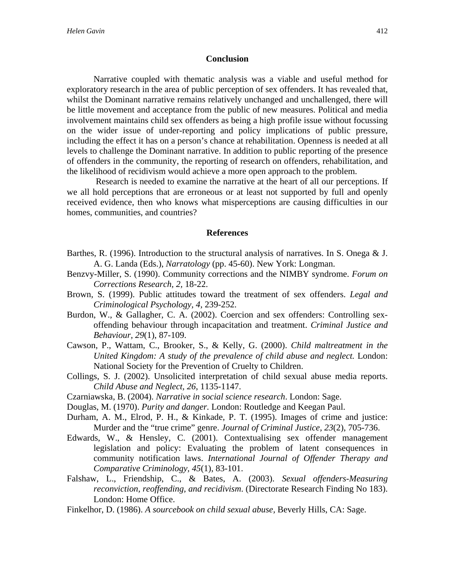## **Conclusion**

Narrative coupled with thematic analysis was a viable and useful method for exploratory research in the area of public perception of sex offenders. It has revealed that, whilst the Dominant narrative remains relatively unchanged and unchallenged, there will be little movement and acceptance from the public of new measures. Political and media involvement maintains child sex offenders as being a high profile issue without focussing on the wider issue of under-reporting and policy implications of public pressure, including the effect it has on a person's chance at rehabilitation. Openness is needed at all levels to challenge the Dominant narrative. In addition to public reporting of the presence of offenders in the community, the reporting of research on offenders, rehabilitation, and the likelihood of recidivism would achieve a more open approach to the problem.

 Research is needed to examine the narrative at the heart of all our perceptions. If we all hold perceptions that are erroneous or at least not supported by full and openly received evidence, then who knows what misperceptions are causing difficulties in our homes, communities, and countries?

#### **References**

- Barthes, R. (1996). Introduction to the structural analysis of narratives. In S. Onega & J. A. G. Landa (Eds.), *Narratology* (pp. 45-60). New York: Longman.
- Benzvy-Miller, S. (1990). Community corrections and the NIMBY syndrome. *Forum on Corrections Research, 2,* 18-22.
- Brown, S. (1999). Public attitudes toward the treatment of sex offenders. *Legal and Criminological Psychology, 4,* 239-252.
- Burdon, W., & Gallagher, C. A. (2002). Coercion and sex offenders: Controlling sexoffending behaviour through incapacitation and treatment. *Criminal Justice and Behaviour, 29*(1), 87-109.
- Cawson, P., Wattam, C., Brooker, S., & Kelly, G. (2000). *Child maltreatment in the United Kingdom: A study of the prevalence of child abuse and neglect.* London: National Society for the Prevention of Cruelty to Children.
- Collings, S. J. (2002). Unsolicited interpretation of child sexual abuse media reports. *Child Abuse and Neglect, 26*, 1135-1147.
- Czarniawska, B. (2004). *Narrative in social science research*. London: Sage.
- Douglas, M. (1970). *Purity and danger.* London: Routledge and Keegan Paul.
- Durham, A. M., Elrod, P. H., & Kinkade, P. T. (1995). Images of crime and justice: Murder and the "true crime" genre. *Journal of Criminal Justice, 23*(2), 705-736.
- Edwards, W., & Hensley, C. (2001). Contextualising sex offender management legislation and policy: Evaluating the problem of latent consequences in community notification laws. *International Journal of Offender Therapy and Comparative Criminology, 45*(1), 83-101.
- Falshaw, L., Friendship, C., & Bates, A. (2003). *Sexual offenders-Measuring reconviction, reoffending, and recidivism*. (Directorate Research Finding No 183). London: Home Office.
- Finkelhor, D. (1986). *A sourcebook on child sexual abuse,* Beverly Hills, CA: Sage.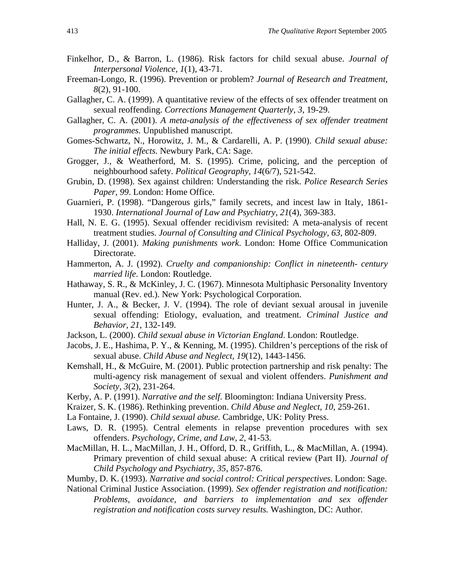- Finkelhor, D., & Barron, L. (1986). Risk factors for child sexual abuse. *Journal of Interpersonal Violence, 1*(1), 43-71.
- Freeman-Longo, R. (1996). Prevention or problem? *Journal of Research and Treatment, 8*(2), 91-100.
- Gallagher, C. A. (1999). A quantitative review of the effects of sex offender treatment on sexual reoffending. *Corrections Management Quarterly, 3*, 19-29.
- Gallagher, C. A. (2001). *A meta-analysis of the effectiveness of sex offender treatment programmes.* Unpublished manuscript.
- Gomes-Schwartz, N., Horowitz, J. M., & Cardarelli, A. P. (1990). *Child sexual abuse: The initial effects.* Newbury Park, CA: Sage.
- Grogger, J., & Weatherford, M. S. (1995). Crime, policing, and the perception of neighbourhood safety. *Political Geography, 14*(6/7), 521-542.
- Grubin, D. (1998). Sex against children: Understanding the risk. *Police Research Series Paper, 99*. London: Home Office.
- Guarnieri, P. (1998). "Dangerous girls," family secrets, and incest law in Italy, 1861- 1930. *International Journal of Law and Psychiatry, 21*(4), 369-383.
- Hall, N. E. G. (1995). Sexual offender recidivism revisited: A meta-analysis of recent treatment studies. *Journal of Consulting and Clinical Psychology, 63*, 802-809.
- Halliday, J. (2001). *Making punishments work*. London: Home Office Communication Directorate.
- Hammerton, A. J. (1992). *Cruelty and companionship: Conflict in nineteenth- century married life*. London: Routledge.
- Hathaway, S. R., & McKinley, J. C. (1967). Minnesota Multiphasic Personality Inventory manual (Rev. ed.). New York: Psychological Corporation.
- Hunter, J. A., & Becker, J. V. (1994). The role of deviant sexual arousal in juvenile sexual offending: Etiology, evaluation, and treatment. *Criminal Justice and Behavior, 21*, 132-149.
- Jackson, L. (2000). *Child sexual abuse in Victorian England*. London: Routledge.
- Jacobs, J. E., Hashima, P. Y., & Kenning, M. (1995). Children's perceptions of the risk of sexual abuse. *Child Abuse and Neglect, 19*(12), 1443-1456.
- Kemshall, H., & McGuire, M. (2001). Public protection partnership and risk penalty: The multi-agency risk management of sexual and violent offenders. *Punishment and Society, 3*(2), 231-264.
- Kerby, A. P. (1991). *Narrative and the self*. Bloomington: Indiana University Press.
- Kraizer, S. K. (1986). Rethinking prevention. *Child Abuse and Neglect, 10*, 259-261.
- La Fontaine, J. (1990). *Child sexual abuse.* Cambridge, UK: Polity Press.
- Laws, D. R. (1995). Central elements in relapse prevention procedures with sex offenders. *Psychology, Crime, and Law, 2*, 41-53.
- MacMillan, H. L., MacMillan, J. H., Offord, D. R., Griffith, L., & MacMillan, A. (1994). Primary prevention of child sexual abuse: A critical review (Part II). *Journal of Child Psychology and Psychiatry, 35,* 857-876.
- Mumby, D. K. (1993). *Narrative and social control: Critical perspectives*. London: Sage.
- National Criminal Justice Association. (1999). *Sex offender registration and notification: Problems, avoidance, and barriers to implementation and sex offender registration and notification costs survey results.* Washington, DC: Author.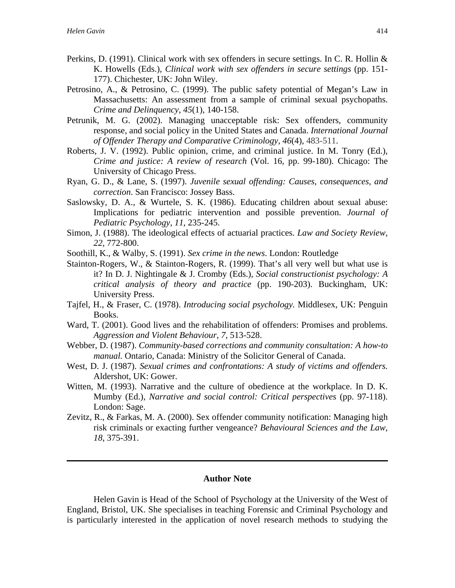- Perkins, D. (1991). Clinical work with sex offenders in secure settings. In C. R. Hollin & K. Howells (Eds.), *Clinical work with sex offenders in secure settings* (pp. 151- 177). Chichester, UK: John Wiley.
- Petrosino, A., & Petrosino, C. (1999). The public safety potential of Megan's Law in Massachusetts: An assessment from a sample of criminal sexual psychopaths. *Crime and Delinquency, 45*(1), 140-158.
- Petrunik, M. G. (2002). Managing unacceptable risk: Sex offenders, community response, and social policy in the United States and Canada. *International Journal of Offender Therapy and Comparative Criminology, 46*(4), 483-511.
- Roberts, J. V. (1992). Public opinion, crime, and criminal justice. In M. Tonry (Ed.), *Crime and justice: A review of research* (Vol. 16, pp. 99-180). Chicago: The University of Chicago Press.
- Ryan, G. D., & Lane, S. (1997). *Juvenile sexual offending: Causes, consequences, and correction*. San Francisco: Jossey Bass.
- Saslowsky, D. A., & Wurtele, S. K. (1986). Educating children about sexual abuse: Implications for pediatric intervention and possible prevention. *Journal of Pediatric Psychology, 11*, 235-245.
- Simon, J. (1988). The ideological effects of actuarial practices. *Law and Society Review, 22,* 772-800.
- Soothill, K., & Walby, S. (1991). *Sex crime in the news*. London: Routledge
- Stainton-Rogers, W., & Stainton-Rogers, R. (1999). That's all very well but what use is it? In D. J. Nightingale & J. Cromby (Eds.), *Social constructionist psychology: A critical analysis of theory and practice* (pp. 190-203). Buckingham, UK: University Press.
- Tajfel, H., & Fraser, C. (1978). *Introducing social psychology.* Middlesex, UK: Penguin Books.
- Ward, T. (2001). Good lives and the rehabilitation of offenders: Promises and problems. *Aggression and Violent Behaviour, 7,* 513-528.
- Webber, D. (1987). *Community-based corrections and community consultation: A how-to manual.* Ontario, Canada: Ministry of the Solicitor General of Canada.
- West, D. J. (1987). *Sexual crimes and confrontations: A study of victims and offenders.*  Aldershot, UK: Gower.
- Witten, M. (1993). Narrative and the culture of obedience at the workplace. In D. K. Mumby (Ed.), *Narrative and social control: Critical perspectives* (pp. 97-118). London: Sage.
- Zevitz, R., & Farkas, M. A. (2000). Sex offender community notification: Managing high risk criminals or exacting further vengeance? *Behavioural Sciences and the Law, 18*, 375-391.

#### **Author Note**

Helen Gavin is Head of the School of Psychology at the University of the West of England, Bristol, UK. She specialises in teaching Forensic and Criminal Psychology and is particularly interested in the application of novel research methods to studying the